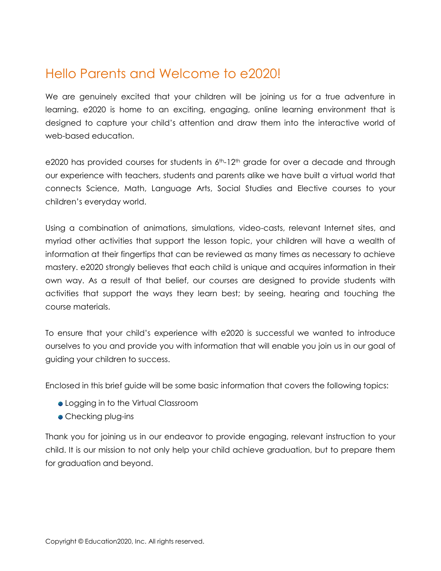## Hello Parents and Welcome to e2020!

We are genuinely excited that your children will be joining us for a true adventure in learning. e2020 is home to an exciting, engaging, online learning environment that is designed to capture your child's attention and draw them into the interactive world of web-based education.

e2020 has provided courses for students in  $6<sup>th</sup>$ -12<sup>th</sup> grade for over a decade and through our experience with teachers, students and parents alike we have built a virtual world that connects Science, Math, Language Arts, Social Studies and Elective courses to your children's everyday world.

Using a combination of animations, simulations, video-casts, relevant Internet sites, and myriad other activities that support the lesson topic, your children will have a wealth of information at their fingertips that can be reviewed as many times as necessary to achieve mastery. e2020 strongly believes that each child is unique and acquires information in their own way. As a result of that belief, our courses are designed to provide students with activities that support the ways they learn best; by seeing, hearing and touching the course materials.

To ensure that your child's experience with e2020 is successful we wanted to introduce ourselves to you and provide you with information that will enable you join us in our goal of guiding your children to success.

Enclosed in this brief guide will be some basic information that covers the following topics:

- Logging in to the Virtual Classroom
- Checking plug-ins

Thank you for joining us in our endeavor to provide engaging, relevant instruction to your child. It is our mission to not only help your child achieve graduation, but to prepare them for graduation and beyond.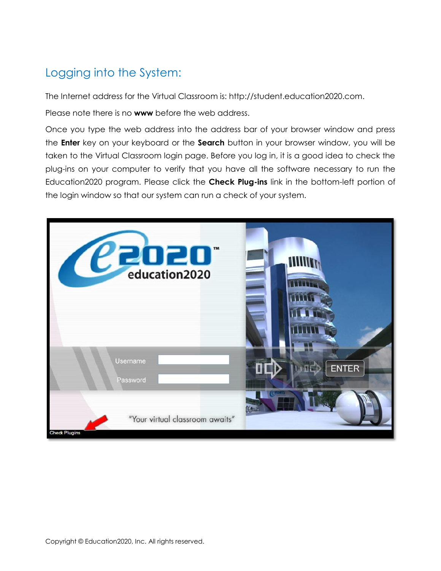## Logging into the System:

The Internet address for the Virtual Classroom is: http://student.education2020.com.

Please note there is no **www** before the web address.

Once you type the web address into the address bar of your browser window and press the **Enter** key on your keyboard or the **Search** button in your browser window, you will be taken to the Virtual Classroom login page. Before you log in, it is a good idea to check the plug-ins on your computer to verify that you have all the software necessary to run the Education2020 program. Please click the **Check Plug-ins** link in the bottom-left portion of the login window so that our system can run a check of your system.